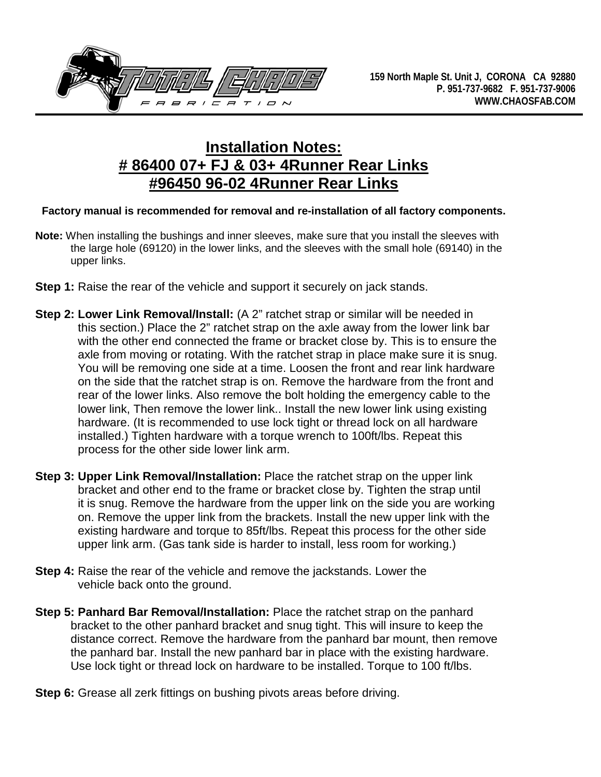

## **Installation Notes: # 86400 07+ FJ & 03+ 4Runner Rear Links #96450 96-02 4Runner Rear Links**

## **Factory manual is recommended for removal and re-installation of all factory components.**

- **Note:** When installing the bushings and inner sleeves, make sure that you install the sleeves with the large hole (69120) in the lower links, and the sleeves with the small hole (69140) in the upper links.
- **Step 1:** Raise the rear of the vehicle and support it securely on jack stands.
- **Step 2: Lower Link Removal/Install:** (A 2" ratchet strap or similar will be needed in this section.) Place the 2" ratchet strap on the axle away from the lower link bar with the other end connected the frame or bracket close by. This is to ensure the axle from moving or rotating. With the ratchet strap in place make sure it is snug. You will be removing one side at a time. Loosen the front and rear link hardware on the side that the ratchet strap is on. Remove the hardware from the front and rear of the lower links. Also remove the bolt holding the emergency cable to the lower link, Then remove the lower link.. Install the new lower link using existing hardware. (It is recommended to use lock tight or thread lock on all hardware installed.) Tighten hardware with a torque wrench to 100ft/lbs. Repeat this process for the other side lower link arm.
- **Step 3: Upper Link Removal/Installation:** Place the ratchet strap on the upper link bracket and other end to the frame or bracket close by. Tighten the strap until it is snug. Remove the hardware from the upper link on the side you are working on. Remove the upper link from the brackets. Install the new upper link with the existing hardware and torque to 85ft/lbs. Repeat this process for the other side upper link arm. (Gas tank side is harder to install, less room for working.)
- **Step 4:** Raise the rear of the vehicle and remove the jackstands. Lower the vehicle back onto the ground.
- **Step 5: Panhard Bar Removal/Installation:** Place the ratchet strap on the panhard bracket to the other panhard bracket and snug tight. This will insure to keep the distance correct. Remove the hardware from the panhard bar mount, then remove the panhard bar. Install the new panhard bar in place with the existing hardware. Use lock tight or thread lock on hardware to be installed. Torque to 100 ft/lbs.
- **Step 6:** Grease all zerk fittings on bushing pivots areas before driving.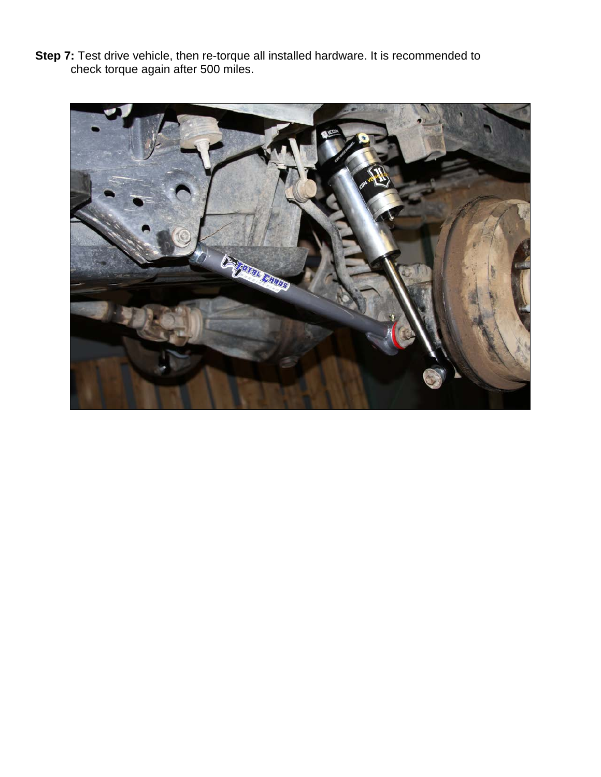**Step 7:** Test drive vehicle, then re-torque all installed hardware. It is recommended to check torque again after 500 miles.

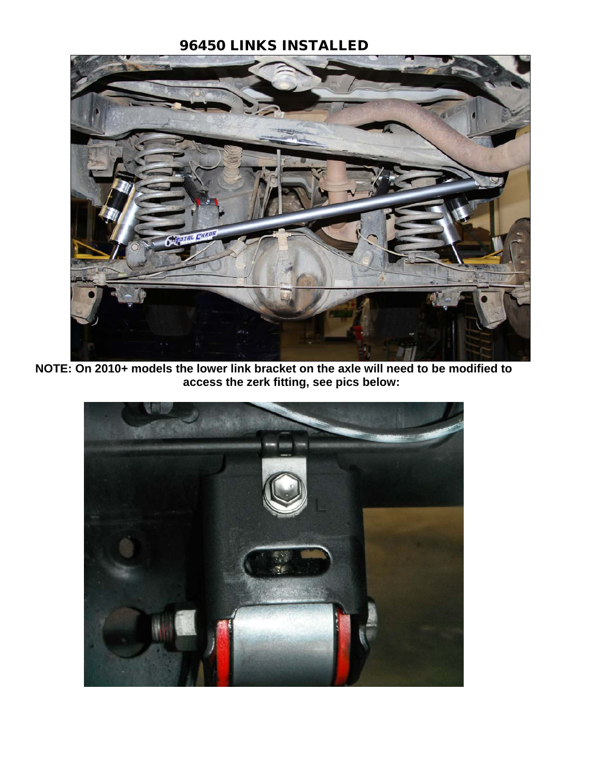## 96450 LINKS INSTALLED



**NOTE: On 2010+ models the lower link bracket on the axle will need to be modified to access the zerk fitting, see pics below:**